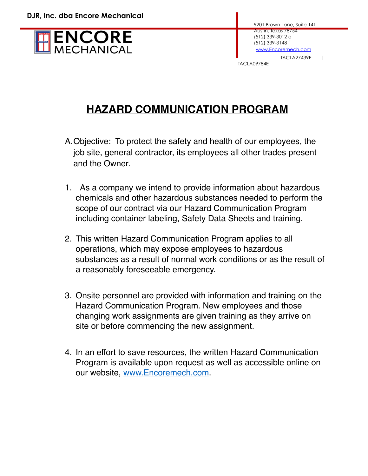

TACLA09784E

## **HAZARD COMMUNICATION PROGRAM**

- A.Objective: To protect the safety and health of our employees, the job site, general contractor, its employees all other trades present and the Owner.
- 1. As a company we intend to provide information about hazardous chemicals and other hazardous substances needed to perform the scope of our contract via our Hazard Communication Program including container labeling, Safety Data Sheets and training.
- 2. This written Hazard Communication Program applies to all operations, which may expose employees to hazardous substances as a result of normal work conditions or as the result of a reasonably foreseeable emergency.
- 3. Onsite personnel are provided with information and training on the Hazard Communication Program. New employees and those changing work assignments are given training as they arrive on site or before commencing the new assignment.
- 4. In an effort to save resources, the written Hazard Communication Program is available upon request as well as accessible online on our website, [www.Encoremech.com.](http://www.Encoremech.com)